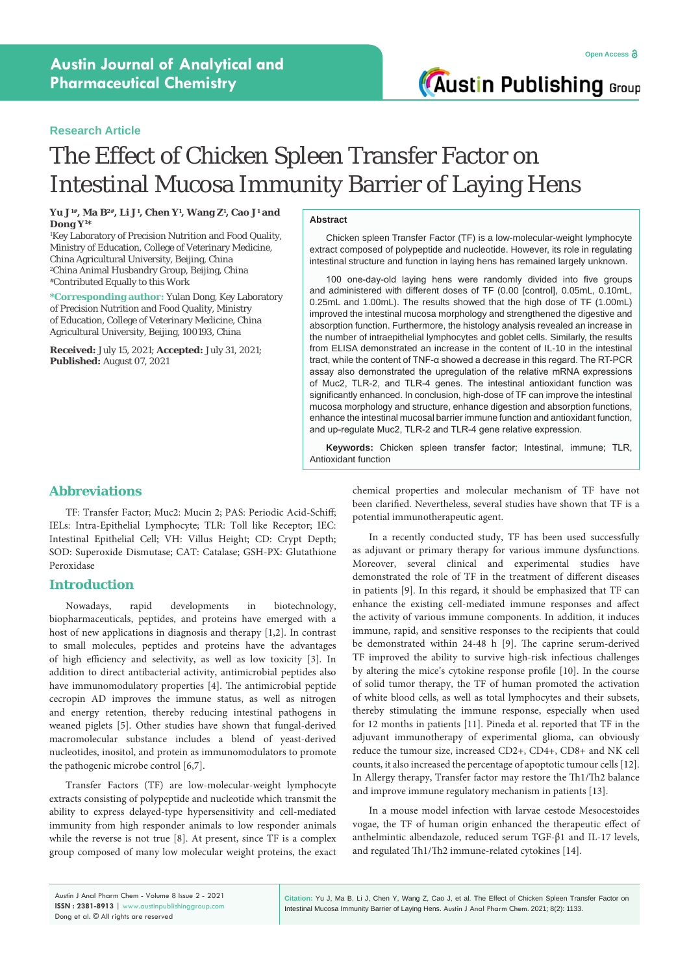## **Research Article**

# The Effect of Chicken Spleen Transfer Factor on Intestinal Mucosa Immunity Barrier of Laying Hens

**Yu J1#, Ma B2#, Li J1 , Chen Y1 , Wang Z1 , Cao J1 and Dong Y1 \***

1 Key Laboratory of Precision Nutrition and Food Quality, Ministry of Education, College of Veterinary Medicine, China Agricultural University, Beijing, China 2 China Animal Husbandry Group, Beijing, China #Contributed Equally to this Work

**\*Corresponding author:** Yulan Dong, Key Laboratory of Precision Nutrition and Food Quality, Ministry of Education, College of Veterinary Medicine, China Agricultural University, Beijing, 100193, China

**Received:** July 15, 2021; **Accepted:** July 31, 2021; **Published:** August 07, 2021

#### **Abstract**

Chicken spleen Transfer Factor (TF) is a low-molecular-weight lymphocyte extract composed of polypeptide and nucleotide. However, its role in regulating intestinal structure and function in laying hens has remained largely unknown.

100 one-day-old laying hens were randomly divided into five groups and administered with different doses of TF (0.00 [control], 0.05mL, 0.10mL, 0.25mL and 1.00mL). The results showed that the high dose of TF (1.00mL) improved the intestinal mucosa morphology and strengthened the digestive and absorption function. Furthermore, the histology analysis revealed an increase in the number of intraepithelial lymphocytes and goblet cells. Similarly, the results from ELISA demonstrated an increase in the content of IL-10 in the intestinal tract, while the content of TNF-α showed a decrease in this regard. The RT-PCR assay also demonstrated the upregulation of the relative mRNA expressions of Muc2, TLR-2, and TLR-4 genes. The intestinal antioxidant function was significantly enhanced. In conclusion, high-dose of TF can improve the intestinal mucosa morphology and structure, enhance digestion and absorption functions, enhance the intestinal mucosal barrier immune function and antioxidant function, and up-regulate Muc2, TLR-2 and TLR-4 gene relative expression.

**Keywords:** Chicken spleen transfer factor; Intestinal, immune; TLR, Antioxidant function

# **Abbreviations**

TF: Transfer Factor; Muc2: Mucin 2; PAS: Periodic Acid‐Schiff; IELs: Intra-Epithelial Lymphocyte; TLR: Toll like Receptor; IEC: Intestinal Epithelial Cell; VH: Villus Height; CD: Crypt Depth; SOD: Superoxide Dismutase; CAT: Catalase; GSH-PX: Glutathione Peroxidase

### **Introduction**

Nowadays, rapid developments in biotechnology, biopharmaceuticals, peptides, and proteins have emerged with a host of new applications in diagnosis and therapy [1,2]. In contrast to small molecules, peptides and proteins have the advantages of high efficiency and selectivity, as well as low toxicity [3]. In addition to direct antibacterial activity, antimicrobial peptides also have immunomodulatory properties [4]. The antimicrobial peptide cecropin AD improves the immune status, as well as nitrogen and energy retention, thereby reducing intestinal pathogens in weaned piglets [5]. Other studies have shown that fungal-derived macromolecular substance includes a blend of yeast-derived nucleotides, inositol, and protein as immunomodulators to promote the pathogenic microbe control [6,7].

Transfer Factors (TF) are low-molecular-weight lymphocyte extracts consisting of polypeptide and nucleotide which transmit the ability to express delayed-type hypersensitivity and cell-mediated immunity from high responder animals to low responder animals while the reverse is not true [8]. At present, since TF is a complex group composed of many low molecular weight proteins, the exact chemical properties and molecular mechanism of TF have not been clarified. Nevertheless, several studies have shown that TF is a potential immunotherapeutic agent.

In a recently conducted study, TF has been used successfully as adjuvant or primary therapy for various immune dysfunctions. Moreover, several clinical and experimental studies have demonstrated the role of TF in the treatment of different diseases in patients [9]. In this regard, it should be emphasized that TF can enhance the existing cell-mediated immune responses and affect the activity of various immune components. In addition, it induces immune, rapid, and sensitive responses to the recipients that could be demonstrated within 24-48 h [9]. The caprine serum-derived TF improved the ability to survive high-risk infectious challenges by altering the mice's cytokine response profile [10]. In the course of solid tumor therapy, the TF of human promoted the activation of white blood cells, as well as total lymphocytes and their subsets, thereby stimulating the immune response, especially when used for 12 months in patients [11]. Pineda et al. reported that TF in the adjuvant immunotherapy of experimental glioma, can obviously reduce the tumour size, increased CD2+, CD4+, CD8+ and NK cell counts, it also increased the percentage of apoptotic tumour cells [12]. In Allergy therapy, Transfer factor may restore the Th1/Th2 balance and improve immune regulatory mechanism in patients [13].

In a mouse model infection with larvae cestode Mesocestoides vogae, the TF of human origin enhanced the therapeutic effect of anthelmintic albendazole, reduced serum TGF-β1 and IL-17 levels, and regulated Th1/Th2 immune-related cytokines [14].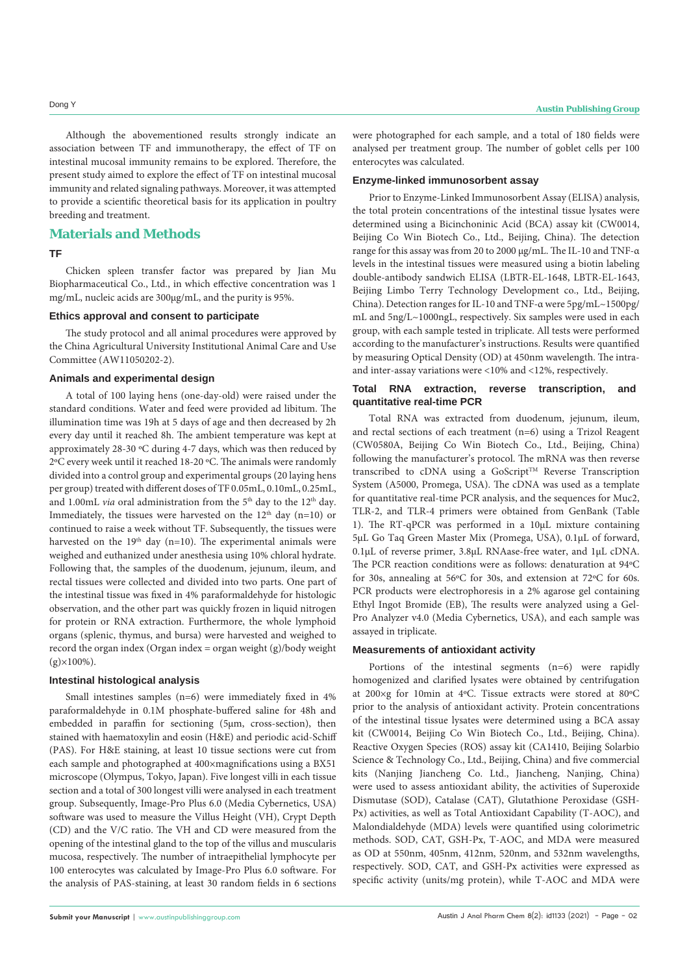Although the abovementioned results strongly indicate an association between TF and immunotherapy, the effect of TF on intestinal mucosal immunity remains to be explored. Therefore, the present study aimed to explore the effect of TF on intestinal mucosal immunity and related signaling pathways. Moreover, it was attempted to provide a scientific theoretical basis for its application in poultry breeding and treatment.

# **Materials and Methods**

#### **TF**

Chicken spleen transfer factor was prepared by Jian Mu Biopharmaceutical Co., Ltd., in which effective concentration was 1 mg/mL, nucleic acids are 300μg/mL, and the purity is 95%.

#### **Ethics approval and consent to participate**

The study protocol and all animal procedures were approved by the China Agricultural University Institutional Animal Care and Use Committee (AW11050202-2).

#### **Animals and experimental design**

A total of 100 laying hens (one-day-old) were raised under the standard conditions. Water and feed were provided ad libitum. The illumination time was 19h at 5 days of age and then decreased by 2h every day until it reached 8h. The ambient temperature was kept at approximately 28-30 ºC during 4-7 days, which was then reduced by 2ºC every week until it reached 18-20 ºC. The animals were randomly divided into a control group and experimental groups (20 laying hens per group) treated with different doses of TF 0.05mL, 0.10mL, 0.25mL, and 1.00mL *via* oral administration from the 5<sup>th</sup> day to the 12<sup>th</sup> day. Immediately, the tissues were harvested on the  $12<sup>th</sup>$  day (n=10) or continued to raise a week without TF. Subsequently, the tissues were harvested on the  $19<sup>th</sup>$  day (n=10). The experimental animals were weighed and euthanized under anesthesia using 10% chloral hydrate. Following that, the samples of the duodenum, jejunum, ileum, and rectal tissues were collected and divided into two parts. One part of the intestinal tissue was fixed in 4% paraformaldehyde for histologic observation, and the other part was quickly frozen in liquid nitrogen for protein or RNA extraction. Furthermore, the whole lymphoid organs (splenic, thymus, and bursa) were harvested and weighed to record the organ index (Organ index = organ weight  $(g)/body$  weight  $(g) \times 100\%$ ).

#### **Intestinal histological analysis**

Small intestines samples (n=6) were immediately fixed in 4% paraformaldehyde in 0.1M phosphate-buffered saline for 48h and embedded in paraffin for sectioning (5μm, cross-section), then stained with haematoxylin and eosin (H&E) and periodic acid-Schiff (PAS). For H&E staining, at least 10 tissue sections were cut from each sample and photographed at 400×magnifications using a BX51 microscope (Olympus, Tokyo, Japan). Five longest villi in each tissue section and a total of 300 longest villi were analysed in each treatment group. Subsequently, Image-Pro Plus 6.0 (Media Cybernetics, USA) software was used to measure the Villus Height (VH), Crypt Depth (CD) and the V/C ratio. The VH and CD were measured from the opening of the intestinal gland to the top of the villus and muscularis mucosa, respectively. The number of intraepithelial lymphocyte per 100 enterocytes was calculated by Image-Pro Plus 6.0 software. For the analysis of PAS-staining, at least 30 random fields in 6 sections

were photographed for each sample, and a total of 180 fields were analysed per treatment group. The number of goblet cells per 100 enterocytes was calculated.

#### **Enzyme-linked immunosorbent assay**

Prior to Enzyme-Linked Immunosorbent Assay (ELISA) analysis, the total protein concentrations of the intestinal tissue lysates were determined using a Bicinchoninic Acid (BCA) assay kit (CW0014, Beijing Co Win Biotech Co., Ltd., Beijing, China). The detection range for this assay was from 20 to 2000 μg/mL. The IL-10 and TNF-α levels in the intestinal tissues were measured using a biotin labeling double-antibody sandwich ELISA (LBTR-EL-1648, LBTR-EL-1643, Beijing Limbo Terry Technology Development co., Ltd., Beijing, China). Detection ranges for IL-10 and TNF-α were 5pg/mL~1500pg/ mL and 5ng/L~1000ngL, respectively. Six samples were used in each group, with each sample tested in triplicate. All tests were performed according to the manufacturer's instructions. Results were quantified by measuring Optical Density (OD) at 450nm wavelength. The intraand inter-assay variations were <10% and <12%, respectively.

#### **Total RNA extraction, reverse transcription, and quantitative real-time PCR**

Total RNA was extracted from duodenum, jejunum, ileum, and rectal sections of each treatment (n=6) using a Trizol Reagent (CW0580A, Beijing Co Win Biotech Co., Ltd., Beijing, China) following the manufacturer's protocol. The mRNA was then reverse transcribed to cDNA using a GoScript™ Reverse Transcription System (A5000, Promega, USA). The cDNA was used as a template for quantitative real-time PCR analysis, and the sequences for Muc2, TLR-2, and TLR-4 primers were obtained from GenBank (Table 1). The RT-qPCR was performed in a 10µL mixture containing 5μL Go Taq Green Master Mix (Promega, USA), 0.1µL of forward, 0.1µL of reverse primer, 3.8µL RNAase-free water, and 1µL cDNA. The PCR reaction conditions were as follows: denaturation at 94ºC for 30s, annealing at 56ºC for 30s, and extension at 72ºC for 60s. PCR products were electrophoresis in a 2% agarose gel containing Ethyl Ingot Bromide (EB), The results were analyzed using a Gel-Pro Analyzer v4.0 (Media Cybernetics, USA), and each sample was assayed in triplicate.

### **Measurements of antioxidant activity**

Portions of the intestinal segments (n=6) were rapidly homogenized and clarified lysates were obtained by centrifugation at 200×g for 10min at 4ºC. Tissue extracts were stored at 80ºC prior to the analysis of antioxidant activity. Protein concentrations of the intestinal tissue lysates were determined using a BCA assay kit (CW0014, Beijing Co Win Biotech Co., Ltd., Beijing, China). Reactive Oxygen Species (ROS) assay kit (CA1410, Beijing Solarbio Science & Technology Co., Ltd., Beijing, China) and five commercial kits (Nanjing Jiancheng Co. Ltd., Jiancheng, Nanjing, China) were used to assess antioxidant ability, the activities of Superoxide Dismutase (SOD), Catalase (CAT), Glutathione Peroxidase (GSH-Px) activities, as well as Total Antioxidant Capability (T-AOC), and Malondialdehyde (MDA) levels were quantified using colorimetric methods. SOD, CAT, GSH-Px, T-AOC, and MDA were measured as OD at 550nm, 405nm, 412nm, 520nm, and 532nm wavelengths, respectively. SOD, CAT, and GSH-Px activities were expressed as specific activity (units/mg protein), while T-AOC and MDA were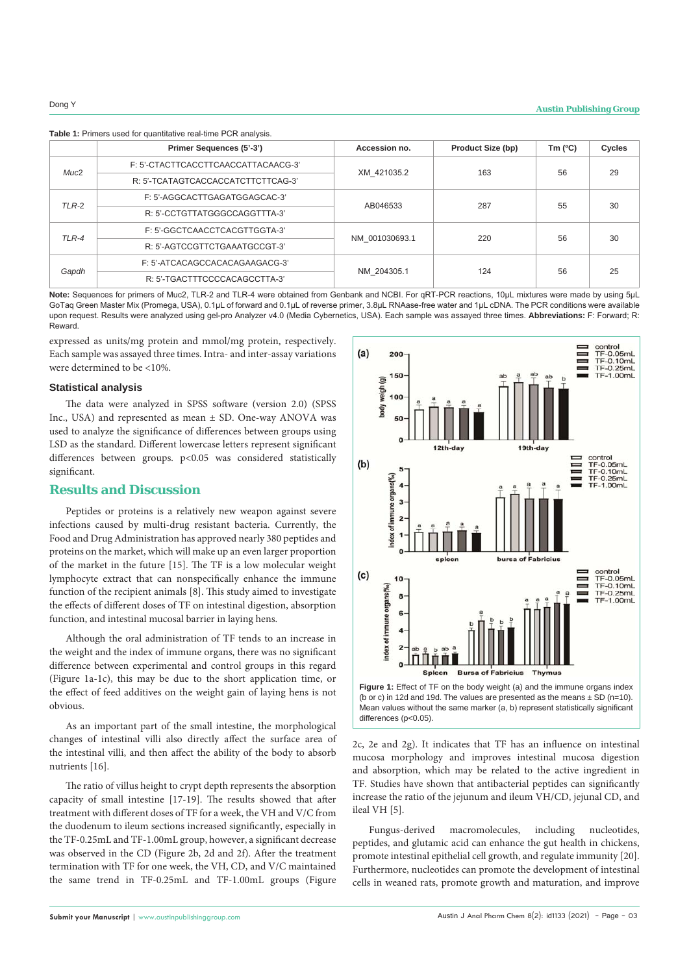|                  | Primer Sequences (5'-3')            | Accession no.  | <b>Product Size (bp)</b> | Tm $(°C)$ | Cycles |
|------------------|-------------------------------------|----------------|--------------------------|-----------|--------|
| Muc <sub>2</sub> | F: 5'-CTACTTCACCTTCAACCATTACAACG-3' | XM 421035.2    | 163                      | 56        | 29     |
|                  | R: 5'-TCATAGTCACCACCATCTTCTTCAG-3'  |                |                          |           |        |
| $TLR-2$          | F: 5'-AGGCACTTGAGATGGAGCAC-3'       | AB046533       | 287                      | 55        | 30     |
|                  | R: 5'-CCTGTTATGGGCCAGGTTTA-3'       |                |                          |           |        |
| TLR-4            | F: 5'-GGCTCAACCTCACGTTGGTA-3'       | NM 001030693.1 | 220                      | 56        | 30     |
|                  | R: 5'-AGTCCGTTCTGAAATGCCGT-3'       |                |                          |           |        |
| Gapdh            | F: 5'-ATCACAGCCACACAGAAGACG-3'      | NM 204305.1    | 124                      | 56        | 25     |
|                  | R: 5'-TGACTTTCCCCACAGCCTTA-3'       |                |                          |           |        |

**Note:** Sequences for primers of Muc2, TLR-2 and TLR-4 were obtained from Genbank and NCBI. For qRT-PCR reactions, 10µL mixtures were made by using 5μL GoTaq Green Master Mix (Promega, USA), 0.1µL of forward and 0.1µL of reverse primer, 3.8µL RNAase-free water and 1µL cDNA. The PCR conditions were available upon request. Results were analyzed using gel-pro Analyzer v4.0 (Media Cybernetics, USA). Each sample was assayed three times. **Abbreviations:** F: Forward; R: **Reward** 

expressed as units/mg protein and mmol/mg protein, respectively. Each sample was assayed three times. Intra- and inter-assay variations were determined to be <10%.

#### **Statistical analysis**

The data were analyzed in SPSS software (version 2.0) (SPSS Inc., USA) and represented as mean ± SD. One-way ANOVA was used to analyze the significance of differences between groups using LSD as the standard. Different lowercase letters represent significant differences between groups. p<0.05 was considered statistically significant.

# **Results and Discussion**

Peptides or proteins is a relatively new weapon against severe infections caused by multi-drug resistant bacteria. Currently, the Food and Drug Administration has approved nearly 380 peptides and proteins on the market, which will make up an even larger proportion of the market in the future [15]. The TF is a low molecular weight lymphocyte extract that can nonspecifically enhance the immune function of the recipient animals [8]. This study aimed to investigate the effects of different doses of TF on intestinal digestion, absorption function, and intestinal mucosal barrier in laying hens.

Although the oral administration of TF tends to an increase in the weight and the index of immune organs, there was no significant difference between experimental and control groups in this regard (Figure 1a-1c), this may be due to the short application time, or the effect of feed additives on the weight gain of laying hens is not obvious.

As an important part of the small intestine, the morphological changes of intestinal villi also directly affect the surface area of the intestinal villi, and then affect the ability of the body to absorb nutrients [16].

The ratio of villus height to crypt depth represents the absorption capacity of small intestine [17-19]. The results showed that after treatment with different doses of TF for a week, the VH and V/C from the duodenum to ileum sections increased significantly, especially in the TF-0.25mL and TF-1.00mL group, however, a significant decrease was observed in the CD (Figure 2b, 2d and 2f). After the treatment termination with TF for one week, the VH, CD, and V/C maintained the same trend in TF-0.25mL and TF-1.00mL groups (Figure





2c, 2e and 2g). It indicates that TF has an influence on intestinal mucosa morphology and improves intestinal mucosa digestion and absorption, which may be related to the active ingredient in TF. Studies have shown that antibacterial peptides can significantly increase the ratio of the jejunum and ileum VH/CD, jejunal CD, and ileal VH [5].

Fungus-derived macromolecules, including nucleotides, peptides, and glutamic acid can enhance the gut health in chickens, promote intestinal epithelial cell growth, and regulate immunity [20]. Furthermore, nucleotides can promote the development of intestinal cells in weaned rats, promote growth and maturation, and improve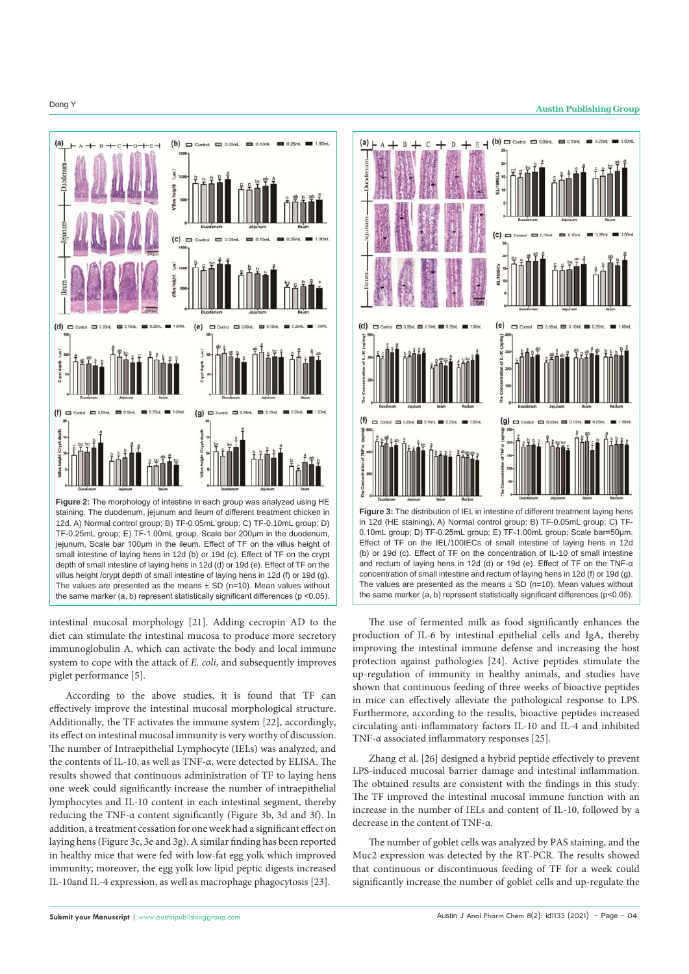

intestinal mucosal morphology [21]. Adding cecropin AD to the diet can stimulate the intestinal mucosa to produce more secretory immunoglobulin A, which can activate the body and local immune system to cope with the attack of *E. coli*, and subsequently improves piglet performance [5].

According to the above studies, it is found that TF can effectively improve the intestinal mucosal morphological structure. Additionally, the TF activates the immune system [22], accordingly, its effect on intestinal mucosal immunity is very worthy of discussion. The number of Intraepithelial Lymphocyte (IELs) was analyzed, and the contents of IL-10, as well as TNF-α, were detected by ELISA. The results showed that continuous administration of TF to laying hens one week could significantly increase the number of intraepithelial lymphocytes and IL-10 content in each intestinal segment, thereby reducing the TNF-α content significantly (Figure 3b, 3d and 3f). In addition, a treatment cessation for one week had a significant effect on laying hens (Figure 3c, 3e and 3g). A similar finding has been reported in healthy mice that were fed with low-fat egg yolk which improved immunity; moreover, the egg yolk low lipid peptic digests increased IL-10and IL-4 expression, as well as macrophage phagocytosis [23].



The use of fermented milk as food significantly enhances the production of IL-6 by intestinal epithelial cells and IgA, thereby improving the intestinal immune defense and increasing the host protection against pathologies [24]. Active peptides stimulate the up-regulation of immunity in healthy animals, and studies have shown that continuous feeding of three weeks of bioactive peptides in mice can effectively alleviate the pathological response to LPS. Furthermore, according to the results, bioactive peptides increased circulating anti-inflammatory factors IL-10 and IL-4 and inhibited TNF-α associated inflammatory responses [25].

Zhang et al. [26] designed a hybrid peptide effectively to prevent LPS-induced mucosal barrier damage and intestinal inflammation. The obtained results are consistent with the findings in this study. The TF improved the intestinal mucosal immune function with an increase in the number of IELs and content of IL-10, followed by a decrease in the content of TNF-α.

The number of goblet cells was analyzed by PAS staining, and the Muc2 expression was detected by the RT-PCR. The results showed that continuous or discontinuous feeding of TF for a week could significantly increase the number of goblet cells and up-regulate the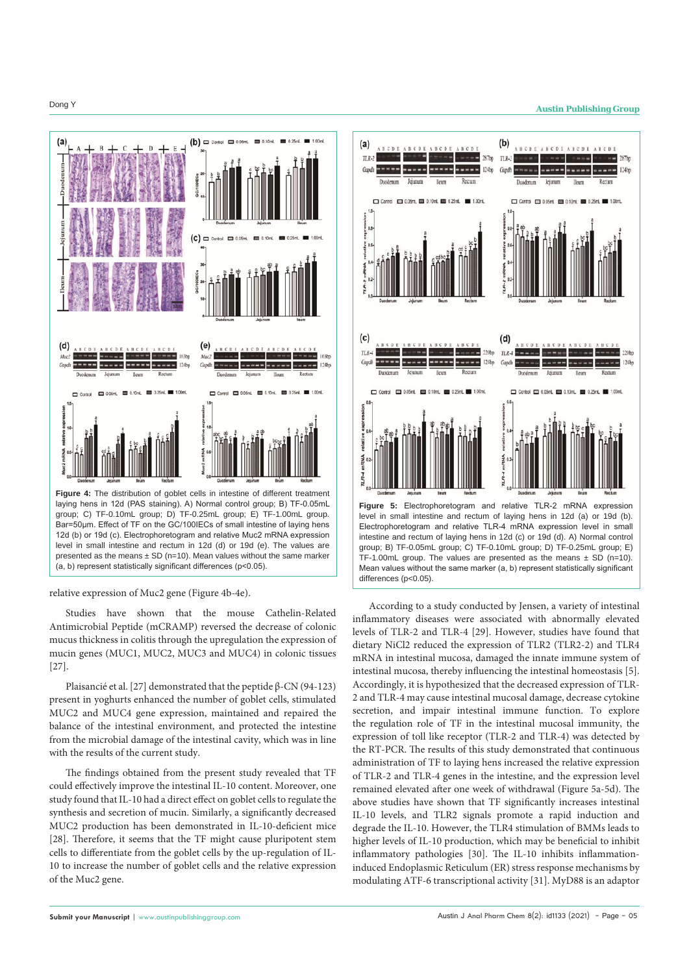

Bar=50um. Effect of TF on the GC/100IECs of small intestine of laying hens 12d (b) or 19d (c). Electrophoretogram and relative Muc2 mRNA expression level in small intestine and rectum in 12d (d) or 19d (e). The values are presented as the means  $\pm$  SD (n=10). Mean values without the same marker (a, b) represent statistically significant differences (p<0.05).



Studies have shown that the mouse Cathelin-Related Antimicrobial Peptide (mCRAMP) reversed the decrease of colonic mucus thickness in colitis through the upregulation the expression of mucin genes (MUC1, MUC2, MUC3 and MUC4) in colonic tissues [27].

Plaisancié et al. [27] demonstrated that the peptide β-CN (94-123) present in yoghurts enhanced the number of goblet cells, stimulated MUC2 and MUC4 gene expression, maintained and repaired the balance of the intestinal environment, and protected the intestine from the microbial damage of the intestinal cavity, which was in line with the results of the current study.

The findings obtained from the present study revealed that TF could effectively improve the intestinal IL-10 content. Moreover, one study found that IL-10 had a direct effect on goblet cells to regulate the synthesis and secretion of mucin. Similarly, a significantly decreased MUC2 production has been demonstrated in IL-10-deficient mice [28]. Therefore, it seems that the TF might cause pluripotent stem cells to differentiate from the goblet cells by the up-regulation of IL-10 to increase the number of goblet cells and the relative expression of the Muc2 gene.



According to a study conducted by Jensen, a variety of intestinal inflammatory diseases were associated with abnormally elevated levels of TLR-2 and TLR-4 [29]. However, studies have found that dietary NiCl2 reduced the expression of TLR2 (TLR2-2) and TLR4 mRNA in intestinal mucosa, damaged the innate immune system of intestinal mucosa, thereby influencing the intestinal homeostasis [5]. Accordingly, it is hypothesized that the decreased expression of TLR-2 and TLR-4 may cause intestinal mucosal damage, decrease cytokine secretion, and impair intestinal immune function. To explore the regulation role of TF in the intestinal mucosal immunity, the expression of toll like receptor (TLR-2 and TLR-4) was detected by the RT-PCR. The results of this study demonstrated that continuous administration of TF to laying hens increased the relative expression of TLR-2 and TLR-4 genes in the intestine, and the expression level remained elevated after one week of withdrawal (Figure 5a-5d). The above studies have shown that TF significantly increases intestinal IL-10 levels, and TLR2 signals promote a rapid induction and degrade the IL-10. However, the TLR4 stimulation of BMMs leads to higher levels of IL-10 production, which may be beneficial to inhibit inflammatory pathologies [30]. The IL-10 inhibits inflammationinduced Endoplasmic Reticulum (ER) stress response mechanisms by modulating ATF-6 transcriptional activity [31]. MyD88 is an adaptor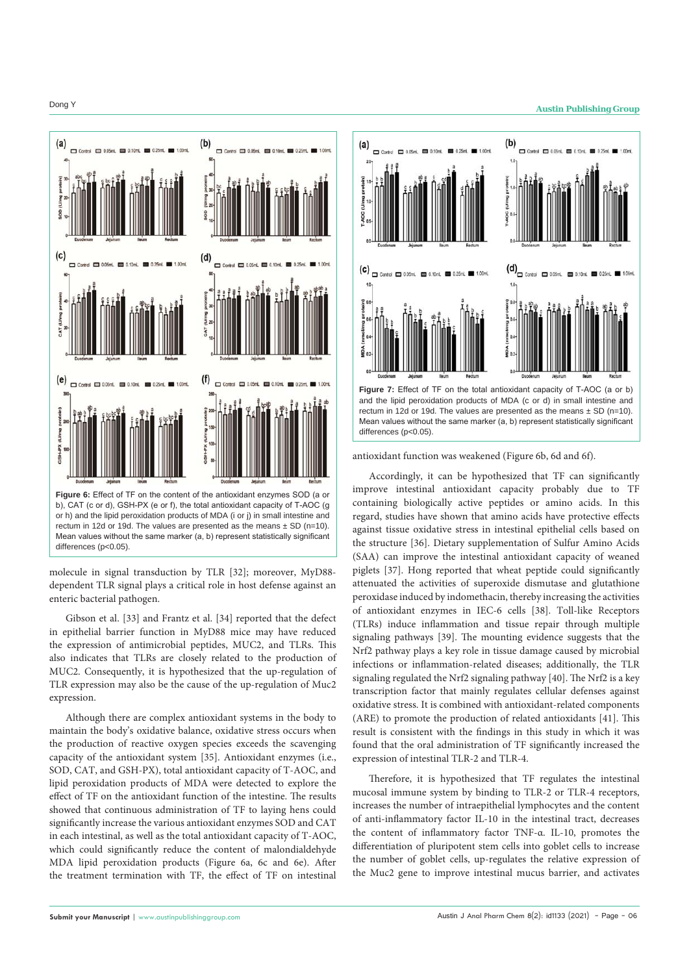

molecule in signal transduction by TLR [32]; moreover, MyD88 dependent TLR signal plays a critical role in host defense against an enteric bacterial pathogen.

Gibson et al. [33] and Frantz et al. [34] reported that the defect in epithelial barrier function in MyD88 mice may have reduced the expression of antimicrobial peptides, MUC2, and TLRs. This also indicates that TLRs are closely related to the production of MUC2. Consequently, it is hypothesized that the up-regulation of TLR expression may also be the cause of the up-regulation of Muc2 expression.

Although there are complex antioxidant systems in the body to maintain the body's oxidative balance, oxidative stress occurs when the production of reactive oxygen species exceeds the scavenging capacity of the antioxidant system [35]. Antioxidant enzymes (i.e., SOD, CAT, and GSH-PX), total antioxidant capacity of T-AOC, and lipid peroxidation products of MDA were detected to explore the effect of TF on the antioxidant function of the intestine. The results showed that continuous administration of TF to laying hens could significantly increase the various antioxidant enzymes SOD and CAT in each intestinal, as well as the total antioxidant capacity of T-AOC, which could significantly reduce the content of malondialdehyde MDA lipid peroxidation products (Figure 6a, 6c and 6e). After the treatment termination with TF, the effect of TF on intestinal

# **Dong Y Austin Publishing Group**



antioxidant function was weakened (Figure 6b, 6d and 6f).

differences (p<0.05).

Mean values without the same marker (a, b) represent statistically significant

Accordingly, it can be hypothesized that TF can significantly improve intestinal antioxidant capacity probably due to TF containing biologically active peptides or amino acids. In this regard, studies have shown that amino acids have protective effects against tissue oxidative stress in intestinal epithelial cells based on the structure [36]. Dietary supplementation of Sulfur Amino Acids (SAA) can improve the intestinal antioxidant capacity of weaned piglets [37]. Hong reported that wheat peptide could significantly attenuated the activities of superoxide dismutase and glutathione peroxidase induced by indomethacin, thereby increasing the activities of antioxidant enzymes in IEC-6 cells [38]. Toll-like Receptors (TLRs) induce inflammation and tissue repair through multiple signaling pathways [39]. The mounting evidence suggests that the Nrf2 pathway plays a key role in tissue damage caused by microbial infections or inflammation-related diseases; additionally, the TLR signaling regulated the Nrf2 signaling pathway [40]. The Nrf2 is a key transcription factor that mainly regulates cellular defenses against oxidative stress. It is combined with antioxidant-related components (ARE) to promote the production of related antioxidants [41]. This result is consistent with the findings in this study in which it was found that the oral administration of TF significantly increased the expression of intestinal TLR-2 and TLR-4.

Therefore, it is hypothesized that TF regulates the intestinal mucosal immune system by binding to TLR-2 or TLR-4 receptors, increases the number of intraepithelial lymphocytes and the content of anti-inflammatory factor IL-10 in the intestinal tract, decreases the content of inflammatory factor TNF-α. IL-10, promotes the differentiation of pluripotent stem cells into goblet cells to increase the number of goblet cells, up-regulates the relative expression of the Muc2 gene to improve intestinal mucus barrier, and activates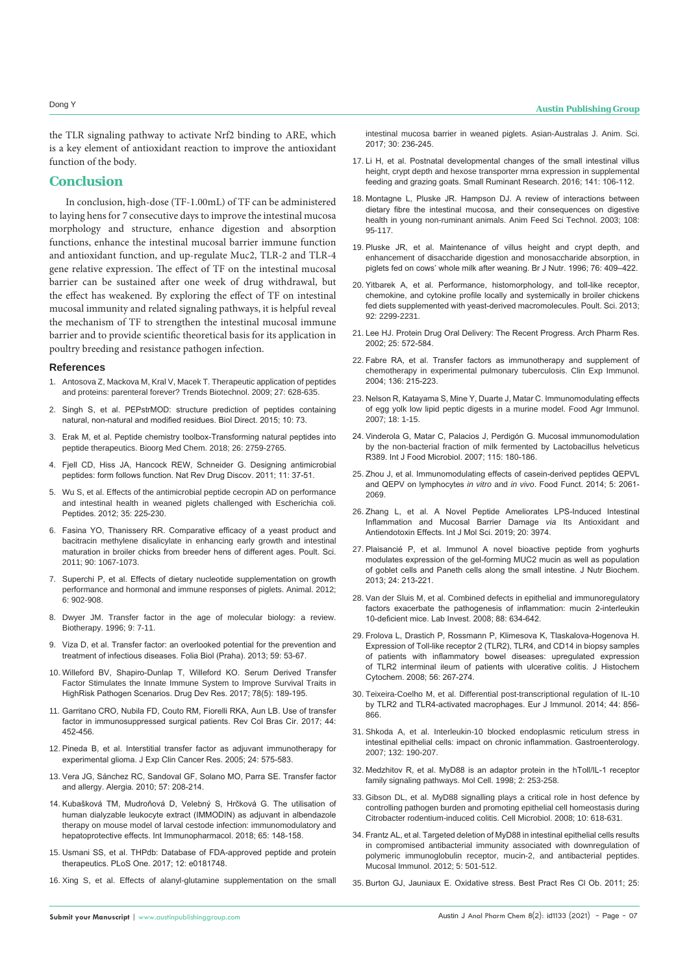the TLR signaling pathway to activate Nrf2 binding to ARE, which is a key element of antioxidant reaction to improve the antioxidant function of the body.

### **Conclusion**

In conclusion, high-dose (TF-1.00mL) of TF can be administered to laying hens for 7 consecutive days to improve the intestinal mucosa morphology and structure, enhance digestion and absorption functions, enhance the intestinal mucosal barrier immune function and antioxidant function, and up-regulate Muc2, TLR-2 and TLR-4 gene relative expression. The effect of TF on the intestinal mucosal barrier can be sustained after one week of drug withdrawal, but the effect has weakened. By exploring the effect of TF on intestinal mucosal immunity and related signaling pathways, it is helpful reveal the mechanism of TF to strengthen the intestinal mucosal immune barrier and to provide scientific theoretical basis for its application in poultry breeding and resistance pathogen infection.

#### **References**

- 1. [Antosova Z, Mackova M, Kral V, Macek T. Therapeutic application of peptides](https://pubmed.ncbi.nlm.nih.gov/19766335/)  [and proteins: parenteral forever? Trends Biotechnol. 2009; 27: 628-635.](https://pubmed.ncbi.nlm.nih.gov/19766335/)
- 2. [Singh S, et al. PEPstrMOD: structure prediction of peptides containing](https://biologydirect.biomedcentral.com/articles/10.1186/s13062-015-0103-4)  [natural, non-natural and modified residues. Biol Direct. 2015; 10: 73.](https://biologydirect.biomedcentral.com/articles/10.1186/s13062-015-0103-4)
- 3. [Erak M, et al. Peptide chemistry toolbox-Transforming natural peptides into](https://pubmed.ncbi.nlm.nih.gov/29395804/)  [peptide therapeutics. Bioorg Med Chem. 2018; 26: 2759-2765.](https://pubmed.ncbi.nlm.nih.gov/29395804/)
- 4. [Fjell CD, Hiss JA, Hancock REW, Schneider G. Designing antimicrobial](https://pubmed.ncbi.nlm.nih.gov/22173434/)  [peptides: form follows function. Nat Rev Drug Discov. 2011; 11: 37-51.](https://pubmed.ncbi.nlm.nih.gov/22173434/)
- 5. [Wu S, et al. Effects of the antimicrobial peptide cecropin AD on performance](https://pubmed.ncbi.nlm.nih.gov/22490448/)  [and intestinal health in weaned piglets challenged with Escherichia coli.](https://pubmed.ncbi.nlm.nih.gov/22490448/)  [Peptides. 2012; 35: 225-230.](https://pubmed.ncbi.nlm.nih.gov/22490448/)
- 6. [Fasina YO, Thanissery RR. Comparative efficacy of a yeast product and](https://pubmed.ncbi.nlm.nih.gov/21489956/)  [bacitracin methylene disalicylate in enhancing early growth and intestinal](https://pubmed.ncbi.nlm.nih.gov/21489956/)  [maturation in broiler chicks from breeder hens of different ages. Poult. Sci.](https://pubmed.ncbi.nlm.nih.gov/21489956/)  [2011; 90: 1067-1073.](https://pubmed.ncbi.nlm.nih.gov/21489956/)
- 7. [Superchi P, et al. Effects of dietary nucleotide supplementation on growth](https://pubmed.ncbi.nlm.nih.gov/22558960/)  [performance and hormonal and immune responses of piglets. Animal. 2012;](https://pubmed.ncbi.nlm.nih.gov/22558960/)  [6: 902-908.](https://pubmed.ncbi.nlm.nih.gov/22558960/)
- 8. [Dwyer JM. Transfer factor in the age of molecular biology: a review.](https://pubmed.ncbi.nlm.nih.gov/8993751/)  [Biotherapy. 1996; 9: 7-11.](https://pubmed.ncbi.nlm.nih.gov/8993751/)
- 9. [Viza D, et al. Transfer factor: an overlooked potential for the prevention and](https://pubmed.ncbi.nlm.nih.gov/23746171/)  [treatment of infectious diseases. Folia Biol \(Praha\). 2013; 59: 53-67.](https://pubmed.ncbi.nlm.nih.gov/23746171/)
- 10. [Willeford BV, Shapiro-Dunlap T, Willeford KO. Serum Derived Transfer](https://pubmed.ncbi.nlm.nih.gov/28639277/)  [Factor Stimulates the Innate Immune System to Improve Survival Traits in](https://pubmed.ncbi.nlm.nih.gov/28639277/)  [HighRisk Pathogen Scenarios. Drug Dev Res. 2017; 78\(5\): 189-195.](https://pubmed.ncbi.nlm.nih.gov/28639277/)
- 11. [Garritano CRO, Nubila FD, Couto RM, Fiorelli RKA, Aun LB. Use of transfer](https://clinmedjournals.org/articles/ijii/international-journal-of-immunology-and-immunotherapy-ijii-6-039.php?jid=ijii)  [factor in immunosuppressed surgical patients. Rev Col Bras Cir. 2017; 44:](https://clinmedjournals.org/articles/ijii/international-journal-of-immunology-and-immunotherapy-ijii-6-039.php?jid=ijii)  [452-456.](https://clinmedjournals.org/articles/ijii/international-journal-of-immunology-and-immunotherapy-ijii-6-039.php?jid=ijii)
- 12. [Pineda B, et al. Interstitial transfer factor as adjuvant immunotherapy for](https://pubmed.ncbi.nlm.nih.gov/16471320/)  [experimental glioma. J Exp Clin Cancer Res. 2005; 24: 575-583.](https://pubmed.ncbi.nlm.nih.gov/16471320/)
- 13. [Vera JG, Sánchez RC, Sandoval GF, Solano MO, Parra SE. Transfer factor](https://www.academia.edu/21568361/Transfer_factor_and_allergy)  [and allergy. Alergia. 2010; 57: 208-214.](https://www.academia.edu/21568361/Transfer_factor_and_allergy)
- 14. Kubašková TM, Mudroňová D, Velebný S, Hrčková G. The utilisation of human dialyzable leukocyte extract (IMMODIN) as adjuvant in albendazole therapy on mouse model of larval cestode infection: immunomodulatory and hepatoprotective effects. Int Immunopharmacol. 2018; 65: 148-158.
- 15. [Usmani SS, et al. THPdb: Database of FDA-approved peptide and protein](https://www.ncbi.nlm.nih.gov/pmc/articles/PMC5536290/)  [therapeutics. PLoS One. 2017; 12: e0181748.](https://www.ncbi.nlm.nih.gov/pmc/articles/PMC5536290/)
- 16. [Xing S, et al. Effects of alanyl-glutamine supplementation on the small](https://www.researchgate.net/publication/304669143_Effects_of_Alanyl-glutamine_Supplementation_on_the_Small_Intestinal_Mucosa_Barrier_in_Weaned_Piglets)

[intestinal mucosa barrier in weaned piglets. Asian-Australas J. Anim. Sci.](https://www.researchgate.net/publication/304669143_Effects_of_Alanyl-glutamine_Supplementation_on_the_Small_Intestinal_Mucosa_Barrier_in_Weaned_Piglets)  [2017; 30: 236-245.](https://www.researchgate.net/publication/304669143_Effects_of_Alanyl-glutamine_Supplementation_on_the_Small_Intestinal_Mucosa_Barrier_in_Weaned_Piglets)

- 17. [Li H, et al. Postnatal developmental changes of the small intestinal villus](https://www.cabdirect.org/cabdirect/abstract/20163325054)  [height, crypt depth and hexose transporter mrna expression in supplemental](https://www.cabdirect.org/cabdirect/abstract/20163325054)  [feeding and grazing goats. Small Ruminant Research. 2016; 141: 106-112.](https://www.cabdirect.org/cabdirect/abstract/20163325054)
- 18. [Montagne L, Pluske JR. Hampson DJ. A review of interactions between](https://www.researchgate.net/publication/46216067_A_review_of_interactions_between_dietary_fibre_and_the_intestinal_mucosa_and_their_consequences_on_digestive_health_in_young_non-ruminant_animals)  [dietary fibre the intestinal mucosa, and their consequences on digestive](https://www.researchgate.net/publication/46216067_A_review_of_interactions_between_dietary_fibre_and_the_intestinal_mucosa_and_their_consequences_on_digestive_health_in_young_non-ruminant_animals)  [health in young non-ruminant animals. Anim Feed Sci Technol. 2003; 108:](https://www.researchgate.net/publication/46216067_A_review_of_interactions_between_dietary_fibre_and_the_intestinal_mucosa_and_their_consequences_on_digestive_health_in_young_non-ruminant_animals)  [95-117.](https://www.researchgate.net/publication/46216067_A_review_of_interactions_between_dietary_fibre_and_the_intestinal_mucosa_and_their_consequences_on_digestive_health_in_young_non-ruminant_animals)
- 19. Pluske JR, et al. Maintenance of villus height and crypt depth, and enhancement of disaccharide digestion and monosaccharide absorption, in piglets fed on cows' whole milk after weaning. Br J Nutr. 1996; 76: 409–422.
- 20. [Yitbarek A, et al. Performance, histomorphology, and toll-like receptor,](https://pubmed.ncbi.nlm.nih.gov/23960112/)  [chemokine, and cytokine profile locally and systemically in broiler chickens](https://pubmed.ncbi.nlm.nih.gov/23960112/)  [fed diets supplemented with yeast-derived macromolecules. Poult. Sci. 2013;](https://pubmed.ncbi.nlm.nih.gov/23960112/)  [92: 2299-2231.](https://pubmed.ncbi.nlm.nih.gov/23960112/)
- 21. [Lee HJ. Protein Drug Oral Delivery: The Recent Progress. Arch Pharm Res.](https://pubmed.ncbi.nlm.nih.gov/12433186/)  [2002; 25: 572-584.](https://pubmed.ncbi.nlm.nih.gov/12433186/)
- 22. [Fabre RA, et al. Transfer factors as immunotherapy and supplement of](https://www.ncbi.nlm.nih.gov/pmc/articles/PMC1809022/)  [chemotherapy in experimental pulmonary tuberculosis. Clin Exp Immunol.](https://www.ncbi.nlm.nih.gov/pmc/articles/PMC1809022/)  [2004; 136: 215-223.](https://www.ncbi.nlm.nih.gov/pmc/articles/PMC1809022/)
- 23. [Nelson R, Katayama S, Mine Y, Duarte J, Matar C. Immunomodulating effects](https://www.researchgate.net/publication/233424089_Immunomodulatory_activity_accompanying_chicken_egg_yolk_immunoglobulin_Y)  [of egg yolk low lipid peptic digests in a murine model. Food Agr Immunol.](https://www.researchgate.net/publication/233424089_Immunomodulatory_activity_accompanying_chicken_egg_yolk_immunoglobulin_Y)  [2007; 18: 1-15.](https://www.researchgate.net/publication/233424089_Immunomodulatory_activity_accompanying_chicken_egg_yolk_immunoglobulin_Y)
- 24. [Vinderola G, Matar C, Palacios J, Perdigón G. Mucosal immunomodulation](https://europepmc.org/article/med/17184869)  [by the non-bacterial fraction of milk fermented by Lactobacillus helveticus](https://europepmc.org/article/med/17184869)  [R389. Int J Food Microbiol. 2007; 115: 180-186.](https://europepmc.org/article/med/17184869)
- 25. [Zhou J, et al. Immunomodulating effects of casein-derived peptides QEPVL](https://pubmed.ncbi.nlm.nih.gov/24983024/)  and QEPV on lymphocytes *in vitro* and *in vivo*[. Food Funct. 2014; 5: 2061-](https://pubmed.ncbi.nlm.nih.gov/24983024/) [2069.](https://pubmed.ncbi.nlm.nih.gov/24983024/)
- 26. [Zhang L, et al. A Novel Peptide Ameliorates LPS-Induced Intestinal](https://pubmed.ncbi.nlm.nih.gov/31443263/)  [Inflammation and Mucosal Barrier Damage](https://pubmed.ncbi.nlm.nih.gov/31443263/) *via* Its Antioxidant and [Antiendotoxin Effects. Int J Mol Sci. 2019; 20: 3974.](https://pubmed.ncbi.nlm.nih.gov/31443263/)
- 27. Plaisancié P, et al. Immunol A novel bioactive peptide from yoghurts modulates expression of the gel-forming MUC2 mucin as well as population of goblet cells and Paneth cells along the small intestine. J Nutr Biochem. 2013; 24: 213-221.
- 28. [Van der Sluis M, et al. Combined defects in epithelial and immunoregulatory](https://pubmed.ncbi.nlm.nih.gov/18427556/)  [factors exacerbate the pathogenesis of inflammation: mucin 2-interleukin](https://pubmed.ncbi.nlm.nih.gov/18427556/)  [10-deficient mice. Lab Invest. 2008; 88: 634-642.](https://pubmed.ncbi.nlm.nih.gov/18427556/)
- 29. [Frolova L, Drastich P, Rossmann P, Klimesova K, Tlaskalova-Hogenova H.](https://www.ncbi.nlm.nih.gov/pmc/articles/PMC2324181/)  [Expression of Toll-like receptor 2 \(TLR2\), TLR4, and CD14 in biopsy samples](https://www.ncbi.nlm.nih.gov/pmc/articles/PMC2324181/)  [of patients with inflammatory bowel diseases: upregulated expression](https://www.ncbi.nlm.nih.gov/pmc/articles/PMC2324181/)  [of TLR2 interminal ileum of patients with ulcerative colitis. J Histochem](https://www.ncbi.nlm.nih.gov/pmc/articles/PMC2324181/)  [Cytochem. 2008; 56: 267-274.](https://www.ncbi.nlm.nih.gov/pmc/articles/PMC2324181/)
- 30. [Teixeira-Coelho M, et al. Differential post-transcriptional regulation of IL-10](https://pubmed.ncbi.nlm.nih.gov/24227629/)  [by TLR2 and TLR4-activated macrophages. Eur J Immunol. 2014; 44: 856-](https://pubmed.ncbi.nlm.nih.gov/24227629/) [866.](https://pubmed.ncbi.nlm.nih.gov/24227629/)
- 31. Shkoda A, et al. Interleukin-10 blocked endoplasmic reticulum stress in intestinal epithelial cells: impact on chronic inflammation. Gastroenterology. 2007; 132: 190-207.
- 32. [Medzhitov R, et al. MyD88 is an adaptor protein in the hToll/IL-1 receptor](https://pubmed.ncbi.nlm.nih.gov/9734363/)  [family signaling pathways. Mol Cell. 1998; 2: 253-258.](https://pubmed.ncbi.nlm.nih.gov/9734363/)
- 33. [Gibson DL, et al. MyD88 signalling plays a critical role in host defence by](https://pubmed.ncbi.nlm.nih.gov/17979981/#:~:text=rodentium%2Dinduced colitis-,MyD88 signalling plays a critical role in host defence by,Cell Microbiol.)  [controlling pathogen burden and promoting epithelial cell homeostasis during](https://pubmed.ncbi.nlm.nih.gov/17979981/#:~:text=rodentium%2Dinduced colitis-,MyD88 signalling plays a critical role in host defence by,Cell Microbiol.)  [Citrobacter rodentium-induced colitis. Cell Microbiol. 2008; 10: 618-631.](https://pubmed.ncbi.nlm.nih.gov/17979981/#:~:text=rodentium%2Dinduced colitis-,MyD88 signalling plays a critical role in host defence by,Cell Microbiol.)
- 34. [Frantz AL, et al. Targeted deletion of MyD88 in intestinal epithelial cells results](https://pubmed.ncbi.nlm.nih.gov/22491177/)  [in compromised antibacterial immunity associated with downregulation of](https://pubmed.ncbi.nlm.nih.gov/22491177/)  [polymeric immunoglobulin receptor, mucin-2, and antibacterial peptides.](https://pubmed.ncbi.nlm.nih.gov/22491177/)  [Mucosal Immunol. 2012; 5: 501-512.](https://pubmed.ncbi.nlm.nih.gov/22491177/)
- 35. [Burton GJ, Jauniaux E. Oxidative stress. Best Pract Res Cl Ob. 2011; 25:](https://pubmed.ncbi.nlm.nih.gov/21130690/)